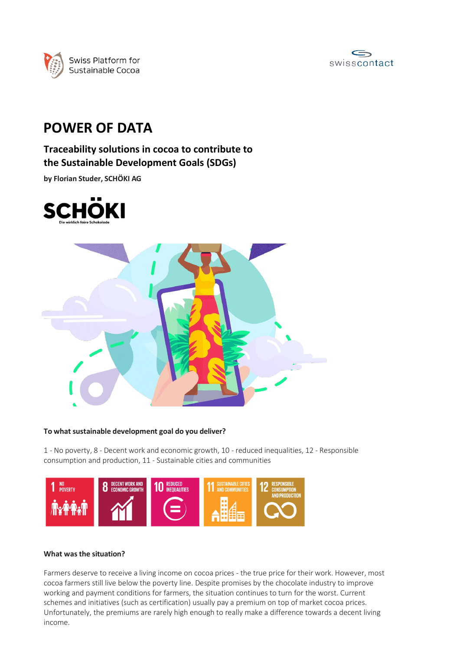



# **POWER OF DATA**

**Traceability solutions in cocoa to contribute to the Sustainable Development Goals (SDGs)**

**by Florian Studer, SCHÖKI AG**





## **To what sustainable development goal do you deliver?**

1 - No poverty, 8 - Decent work and economic growth, 10 - reduced inequalities, 12 - Responsible consumption and production, 11 - Sustainable cities and communities



## **What was the situation?**

Farmers deserve to receive a living income on cocoa prices - the true price for their work. However, most cocoa farmers still live below the poverty line. Despite promises by the chocolate industry to improve working and payment conditions for farmers, the situation continues to turn for the worst. Current schemes and initiatives (such as certification) usually pay a premium on top of market cocoa prices. Unfortunately, the premiums are rarely high enough to really make a difference towards a decent living income.